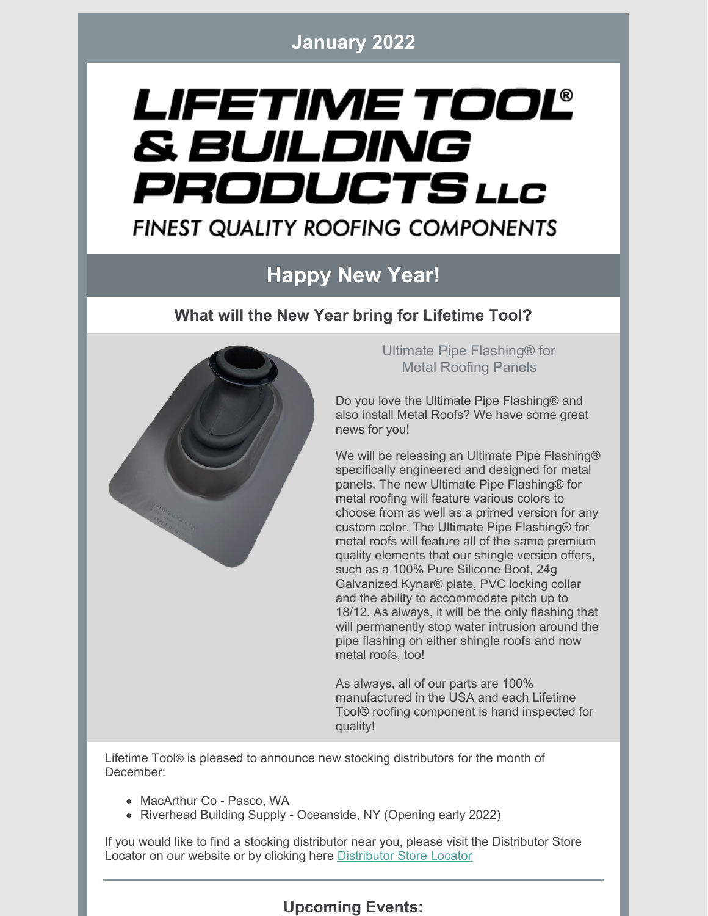**January 2022**

# LIFETIME TOOL® & BUILDING PRODUCTS LLC **FINEST QUALITY ROOFING COMPONENTS**

## **Happy New Year!**

#### **What will the New Year bring for Lifetime Tool?**



Ultimate Pipe Flashing® for Metal Roofing Panels

Do you love the Ultimate Pipe Flashing® and also install Metal Roofs? We have some great news for you!

We will be releasing an Ultimate Pipe Flashing® specifically engineered and designed for metal panels. The new Ultimate Pipe Flashing® for metal roofing will feature various colors to choose from as well as a primed version for any custom color. The Ultimate Pipe Flashing® for metal roofs will feature all of the same premium quality elements that our shingle version offers, such as a 100% Pure Silicone Boot, 24g Galvanized Kynar® plate, PVC locking collar and the ability to accommodate pitch up to 18/12. As always, it will be the only flashing that will permanently stop water intrusion around the pipe flashing on either shingle roofs and now metal roofs, too!

As always, all of our parts are 100% manufactured in the USA and each Lifetime Tool® roofing component is hand inspected for quality!

Lifetime Tool® is pleased to announce new stocking distributors for the month of December:

- MacArthur Co Pasco, WA
- Riverhead Building Supply Oceanside, NY (Opening early 2022)

If you would like to find a stocking distributor near you, please visit the Distributor Store Locator on our website or by clicking here [Distributor](https://lifetimetool.com/store-locator/) Store Locator

**Upcoming Events:**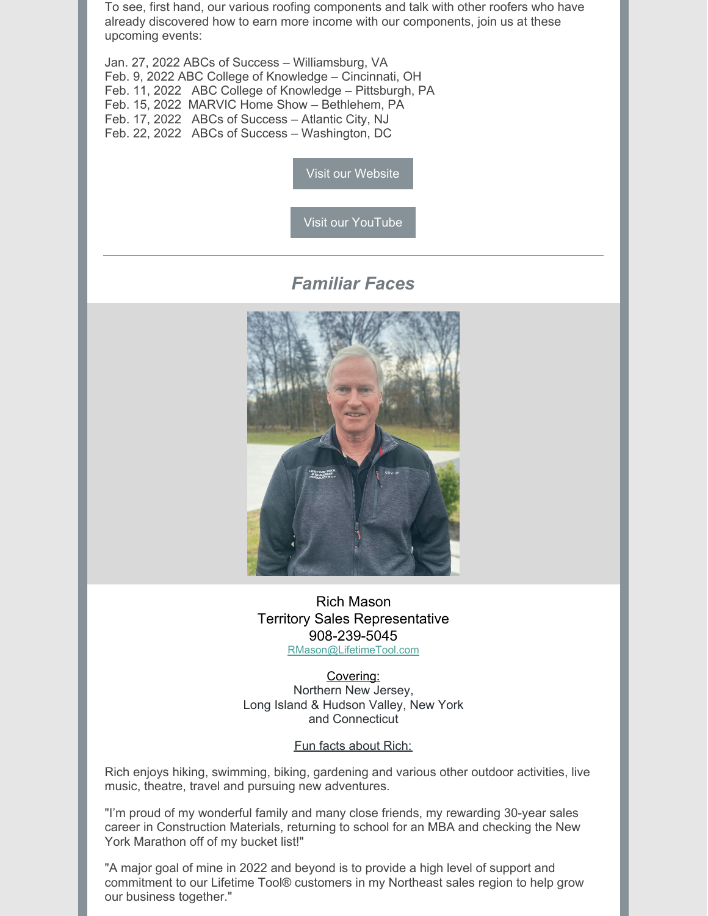To see, first hand, our various roofing components and talk with other roofers who have already discovered how to earn more income with our components, join us at these upcoming events:

Jan. 27, 2022 ABCs of Success – Williamsburg, VA Feb. 9, 2022 ABC College of Knowledge – Cincinnati, OH Feb. 11, 2022 ABC College of Knowledge – Pittsburgh, PA Feb. 15, 2022 MARVIC Home Show – Bethlehem, PA Feb. 17, 2022 ABCs of Success – Atlantic City, NJ Feb. 22, 2022 ABCs of Success – Washington, DC

Visit our [Website](https://lifetimetool.com/)

Visit our [YouTube](https://www.youtube.com/channel/UCc-RNLrqoj6h1Ftx9U-ENzg)

*Familiar Faces*



Rich Mason Territory Sales Representative 908-239-5045 [RMason@LifetimeTool.com](mailto:RMason@LifetimeTool.com)

Covering: Northern New Jersey, Long Island & Hudson Valley, New York and Connecticut

Fun facts about Rich:

Rich enjoys hiking, swimming, biking, gardening and various other outdoor activities, live music, theatre, travel and pursuing new adventures.

"I'm proud of my wonderful family and many close friends, my rewarding 30-year sales career in Construction Materials, returning to school for an MBA and checking the New York Marathon off of my bucket list!"

"A major goal of mine in 2022 and beyond is to provide a high level of support and commitment to our Lifetime Tool® customers in my Northeast sales region to help grow our business together."